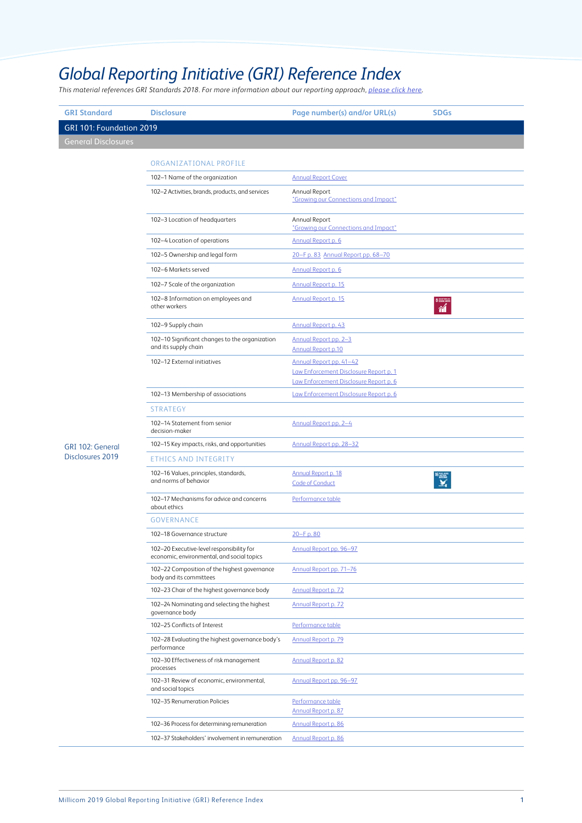## *Global Reporting Initiative (GRI) Reference Index*

*This material references GRI Standards 2018. For more information about our reporting approach, [please click here](https://millicom.com/2019annualreport).*

| <b>GRI Standard</b>        | <b>Disclosure</b>                                                                       | Page number(s) and/or URL(s)                                                     | <b>SDGs</b> |
|----------------------------|-----------------------------------------------------------------------------------------|----------------------------------------------------------------------------------|-------------|
| GRI 101: Foundation 2019   |                                                                                         |                                                                                  |             |
| <b>General Disclosures</b> |                                                                                         |                                                                                  |             |
|                            | ORGANIZATIONAL PROFILE                                                                  |                                                                                  |             |
|                            | 102-1 Name of the organization                                                          | <b>Annual Report Cover</b>                                                       |             |
|                            | 102-2 Activities, brands, products, and services                                        | Annual Report                                                                    |             |
|                            |                                                                                         | "Growing our Connections and Impact"                                             |             |
|                            | 102-3 Location of headquarters                                                          | Annual Report<br>"Growing our Connections and Impact"                            |             |
|                            | 102-4 Location of operations                                                            | Annual Report p. 6                                                               |             |
|                            | 102-5 Ownership and legal form                                                          | 20-F p. 83 Annual Report pp. 68-70                                               |             |
|                            | 102-6 Markets served                                                                    | Annual Report p. 6                                                               |             |
|                            | 102-7 Scale of the organization                                                         | Annual Report p. 15                                                              |             |
|                            | 102-8 Information on employees and<br>other workers                                     | Annual Report p. 15                                                              | 衜           |
|                            | 102-9 Supply chain                                                                      | Annual Report p. 43                                                              |             |
|                            | 102-10 Significant changes to the organization<br>and its supply chain                  | Annual Report pp. 2-3<br><b>Annual Report p.10</b>                               |             |
|                            | 102-12 External initiatives                                                             | Annual Report pp. 41-42                                                          |             |
|                            |                                                                                         | Law Enforcement Disclosure Report p. 1<br>Law Enforcement Disclosure Report p. 6 |             |
|                            | 102-13 Membership of associations                                                       | Law Enforcement Disclosure Report p. 6                                           |             |
|                            | STRATEGY                                                                                |                                                                                  |             |
|                            | 102-14 Statement from senior<br>decision-maker                                          | Annual Report pp. 2-4                                                            |             |
| GRI 102: General           | 102-15 Key impacts, risks, and opportunities                                            | Annual Report pp. 28-32                                                          |             |
| Disclosures 2019           | ETHICS AND INTEGRITY                                                                    |                                                                                  |             |
|                            | 102-16 Values, principles, standards,<br>and norms of behavior                          | Annual Report p. 18<br><b>Code of Conduct</b>                                    |             |
|                            | 102-17 Mechanisms for advice and concerns<br>about ethics                               | Performance table                                                                |             |
|                            | <b>GOVERNANCE</b>                                                                       |                                                                                  |             |
|                            | 102-18 Governance structure                                                             | 20-Fp.80                                                                         |             |
|                            | 102-20 Executive-level responsibility for<br>economic, environmental, and social topics | Annual Report pp. 96-97                                                          |             |
|                            | 102-22 Composition of the highest governance<br>body and its committees                 | Annual Report pp. 71-76                                                          |             |
|                            | 102-23 Chair of the highest governance body                                             | Annual Report p. 72                                                              |             |
|                            | 102-24 Nominating and selecting the highest<br>governance body                          | Annual Report p. 72                                                              |             |
|                            | 102-25 Conflicts of Interest                                                            | Performance table                                                                |             |
|                            | 102-28 Evaluating the highest governance body's<br>performance                          | Annual Report p. 79                                                              |             |
|                            | 102-30 Effectiveness of risk management<br>processes                                    | Annual Report p. 82                                                              |             |
|                            | 102-31 Review of economic, environmental,<br>and social topics                          | Annual Report pp. 96-97                                                          |             |
|                            | 102-35 Renumeration Policies                                                            | Performance table<br>Annual Report p. 87                                         |             |
|                            | 102-36 Process for determining remuneration                                             | Annual Report p. 86                                                              |             |
|                            | 102-37 Stakeholders' involvement in remuneration                                        | Annual Report p. 86                                                              |             |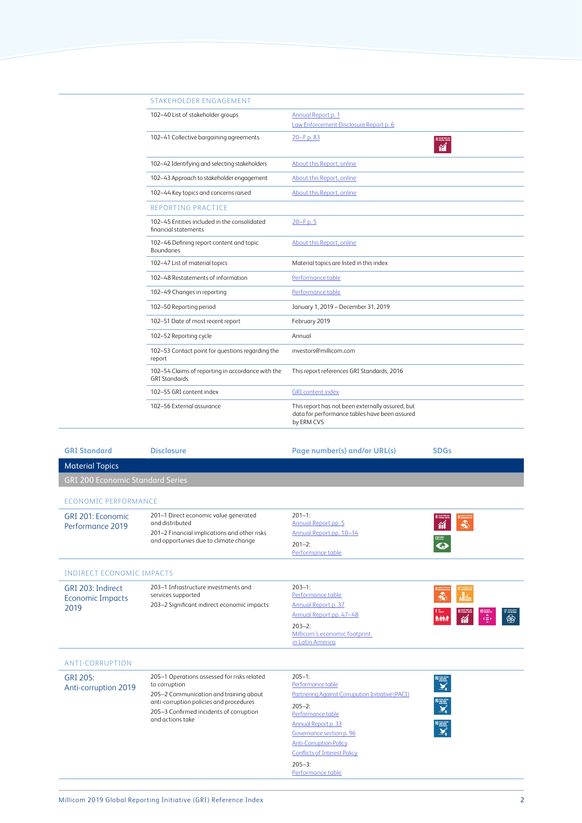| <b>STAKEHOLDER ENGAGEMENT</b>                                             |                                                                                                                 |
|---------------------------------------------------------------------------|-----------------------------------------------------------------------------------------------------------------|
| 102-40 List of stakeholder groups                                         | Annual Report p. 1<br>Law Enforcement Disclosure Report p. 6                                                    |
| 102-41 Collective bargaining agreements                                   | 20-Fp.83<br>8 months<br>衜                                                                                       |
| 102-42 Identifying and selecting stakeholders                             | About this Report, online                                                                                       |
| 102-43 Approach to stakeholder engagement                                 | About this Report, online                                                                                       |
| 102-44 Key topics and concerns raised                                     | About this Report, online                                                                                       |
| <b>REPORTING PRACTICE</b>                                                 |                                                                                                                 |
| 102-45 Entities included in the consolidated<br>financial statements      | 20-Fp.5                                                                                                         |
| 102-46 Defining report content and topic<br><b>Boundaries</b>             | About this Report, online                                                                                       |
| 102-47 List of material topics                                            | Material topics are listed in this index                                                                        |
| 102-48 Restatements of information                                        | Performance table                                                                                               |
| 102-49 Changes in reporting                                               | Performance table                                                                                               |
| 102-50 Reporting period                                                   | January 1, 2019 - December 31, 2019                                                                             |
| 102-51 Date of most recent report                                         | February 2019                                                                                                   |
| 102-52 Reporting cycle                                                    | Annual                                                                                                          |
| 102-53 Contact point for questions regarding the<br>report                | investors@millicom.com                                                                                          |
| 102-54 Claims of reporting in accordance with the<br><b>GRI Standards</b> | This report references GRI Standards, 2016                                                                      |
| 102-55 GRI content index                                                  | <b>GRI</b> content index                                                                                        |
| 102-56 External assurance                                                 | This report has not been externally assured, but<br>data for performance tables have been assured<br>by ERM CVS |

| <b>GRI Standard</b>                                  | <b>Disclosure</b>                                                                                                                                                                                                | Page number(s) and/or URL(s)                                                                                                                                                                                                                                                          | <b>SDGs</b>           |
|------------------------------------------------------|------------------------------------------------------------------------------------------------------------------------------------------------------------------------------------------------------------------|---------------------------------------------------------------------------------------------------------------------------------------------------------------------------------------------------------------------------------------------------------------------------------------|-----------------------|
| <b>Material Topics</b>                               |                                                                                                                                                                                                                  |                                                                                                                                                                                                                                                                                       |                       |
| <b>GRI 200 Economic Standard Series</b>              |                                                                                                                                                                                                                  |                                                                                                                                                                                                                                                                                       |                       |
| <b>ECONOMIC PERFORMANCE</b>                          |                                                                                                                                                                                                                  |                                                                                                                                                                                                                                                                                       |                       |
| GRI 201: Economic<br>Performance 2019                | 201-1 Direct economic value generated<br>and distributed<br>201-2 Financial implications and other risks<br>and opportunies due to climate change                                                                | $201 - 1:$<br>Annual Report pp. 5<br>Annual Report pp. 10-14<br>$201 - 2:$<br>Performance table                                                                                                                                                                                       | $13 \frac{m}{m}$<br>O |
| <b>INDIRECT ECONOMIC IMPACTS</b>                     |                                                                                                                                                                                                                  |                                                                                                                                                                                                                                                                                       |                       |
| GRI 203: Indirect<br><b>Economic Impacts</b><br>2019 | 203-1 Infrastructure investments and<br>services supported<br>203-2 Significant indirect economic impacts                                                                                                        | $203 - 1:$<br>Performance table<br><b>Annual Report p. 37</b><br>Annual Report pp. 47-48<br>$203 - 2:$<br>Millicom's economic footprint<br>in Latin America                                                                                                                           | ⊛<br>₱                |
| <b>ANTI-CORRUPTION</b>                               |                                                                                                                                                                                                                  |                                                                                                                                                                                                                                                                                       |                       |
| GRI 205:<br>Anti-corruption 2019                     | 205-1 Operations assessed for risks related<br>to corruption<br>205-2 Communication and training about<br>anti-corruption policies and procedures<br>205-3 Confirmed incidents of corruption<br>and actions take | $205 - 1$ :<br>Performance table<br>Partnering Against Corrupution Initiative (PACI)<br>$205 - 2:$<br>Performance table<br>Annual Report p. 33<br>Governance section p. 96<br><b>Anti-Corruption Policy</b><br><b>Conflicts of Interest Policy</b><br>$205 - 3:$<br>Performance table | ▓₹<br>▓₹              |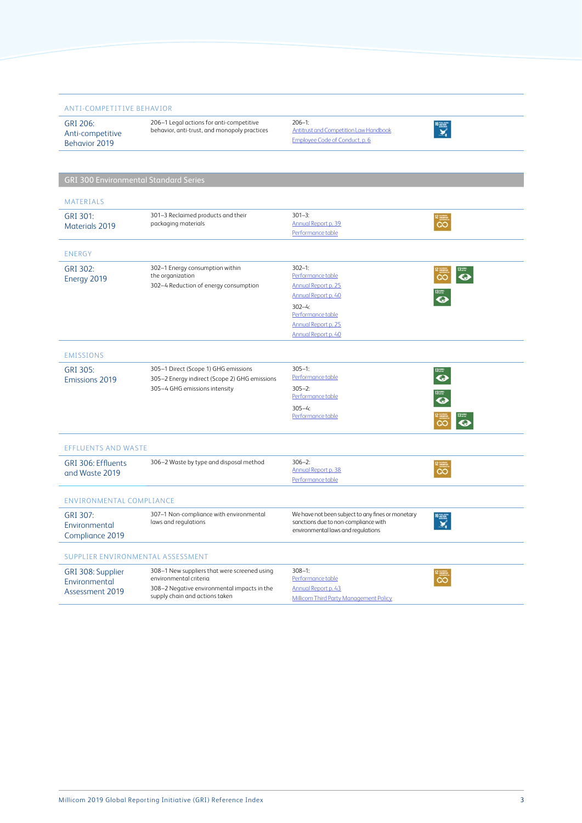| <b>ANTI-COMPETITIVE BEHAVIOR</b>                      |                                                                                                                                                         |                                                                                                                                                                              |                  |
|-------------------------------------------------------|---------------------------------------------------------------------------------------------------------------------------------------------------------|------------------------------------------------------------------------------------------------------------------------------------------------------------------------------|------------------|
| GRI 206:<br>Anti-competitive<br>Behavior 2019         | 206-1 Legal actions for anti-competitive<br>behavior, anti-trust, and monopoly practices                                                                | $206 - 1$ :<br><b>Antitrust and Competition Law Handbook</b><br>Employee Code of Conduct, p. 6                                                                               |                  |
|                                                       |                                                                                                                                                         |                                                                                                                                                                              |                  |
| <b>GRI 300 Environmental Standard Series</b>          |                                                                                                                                                         |                                                                                                                                                                              |                  |
|                                                       |                                                                                                                                                         |                                                                                                                                                                              |                  |
| <b>MATERIALS</b>                                      |                                                                                                                                                         |                                                                                                                                                                              |                  |
| GRI 301:<br><b>Materials 2019</b>                     | 301-3 Reclaimed products and their<br>packaging materials                                                                                               | $301 - 3:$<br>Annual Report p. 39<br>Performance table                                                                                                                       | ၹ                |
| <b>ENERGY</b>                                         |                                                                                                                                                         |                                                                                                                                                                              |                  |
| GRI 302:<br>Energy 2019                               | 302-1 Energy consumption within<br>the organization<br>302-4 Reduction of energy consumption                                                            | $302 - 1:$<br>Performance table<br>Annual Report p. 25<br><b>Annual Report p. 40</b><br>$302 - 4:$<br>Performance table<br><b>Annual Report p. 25</b><br>Annual Report p. 40 | $\bullet$        |
| <b>EMISSIONS</b>                                      |                                                                                                                                                         |                                                                                                                                                                              |                  |
| GRI 305:<br><b>Emissions 2019</b>                     | 305-1 Direct (Scope 1) GHG emissions<br>305-2 Energy indirect (Scope 2) GHG emissions<br>305-4 GHG emissions intensity                                  | $305 - 1$ :<br>Performance table<br>$305 - 2:$<br>Performance table<br>$305 - 4:$<br>Performance table                                                                       | $\mathbf \Omega$ |
| <b>EFFLUENTS AND WASTE</b>                            |                                                                                                                                                         |                                                                                                                                                                              |                  |
| GRI 306: Effluents<br>and Waste 2019                  | 306-2 Waste by type and disposal method                                                                                                                 | $306 - 2:$<br>Annual Report p. 38<br>Performance table                                                                                                                       |                  |
| <b>ENVIRONMENTAL COMPLIANCE</b>                       |                                                                                                                                                         |                                                                                                                                                                              |                  |
| GRI 307:<br>Environmental<br>Compliance 2019          | 307-1 Non-compliance with environmental<br>laws and regulations                                                                                         | We have not been subject to any fines or monetary<br>sanctions due to non-compliance with<br>environmental laws and regulations                                              |                  |
| SUPPLIER ENVIRONMENTAL ASSESSMENT                     |                                                                                                                                                         |                                                                                                                                                                              |                  |
| GRI 308: Supplier<br>Environmental<br>Assessment 2019 | 308-1 New suppliers that were screened using<br>environmental criteria<br>308-2 Negative environmental impacts in the<br>supply chain and actions taken | $308 - 1$ :<br>Performance table<br><b>Annual Report p. 43</b><br><b>Millicom Third Party Management Policy</b>                                                              |                  |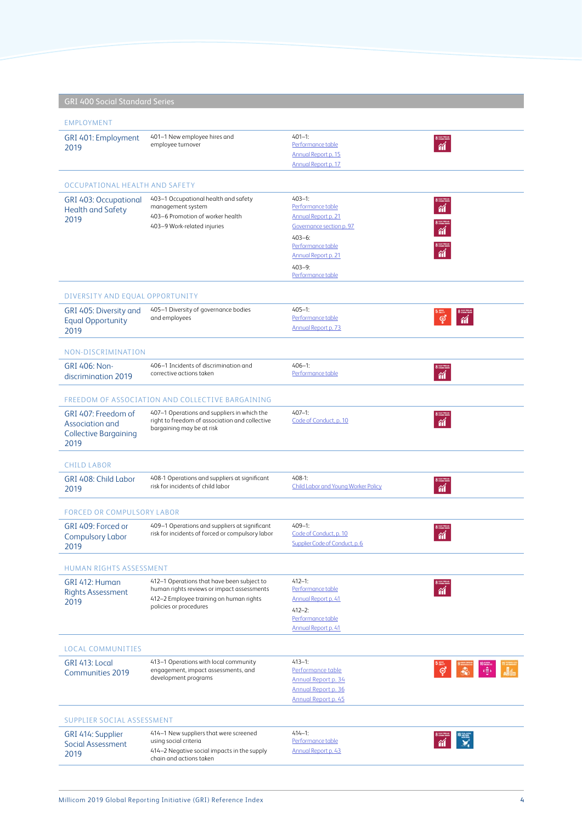| <b>GRI 400 Social Standard Series</b>                                          |                                                                                                                                                               |                                                                                                                                                                                 |                                                                                                                                                                                                                                                                                                                                                     |
|--------------------------------------------------------------------------------|---------------------------------------------------------------------------------------------------------------------------------------------------------------|---------------------------------------------------------------------------------------------------------------------------------------------------------------------------------|-----------------------------------------------------------------------------------------------------------------------------------------------------------------------------------------------------------------------------------------------------------------------------------------------------------------------------------------------------|
| <b>EMPLOYMENT</b>                                                              |                                                                                                                                                               |                                                                                                                                                                                 |                                                                                                                                                                                                                                                                                                                                                     |
| GRI 401: Employment<br>2019                                                    | 401-1 New employee hires and<br>employee turnover                                                                                                             | $401 - 1:$<br>Performance table<br>Annual Report p. 15<br>Annual Report p. 17                                                                                                   | $\frac{1}{\alpha}$                                                                                                                                                                                                                                                                                                                                  |
| OCCUPATIONAL HEALTH AND SAFETY                                                 |                                                                                                                                                               |                                                                                                                                                                                 |                                                                                                                                                                                                                                                                                                                                                     |
| <b>GRI 403: Occupational</b><br><b>Health and Safety</b><br>2019               | 403-1 Occupational health and safety<br>management system<br>403-6 Promotion of worker health<br>403-9 Work-related injuries                                  | $403 - 1:$<br>Performance table<br>Annual Report p. 21<br>Governance section p. 97<br>$403 - 6:$<br>Performance table<br>Annual Report p. 21<br>$403 - 9:$<br>Performance table | $\frac{1}{\gamma}$                                                                                                                                                                                                                                                                                                                                  |
| DIVERSITY AND EOUAL OPPORTUNITY                                                |                                                                                                                                                               |                                                                                                                                                                                 |                                                                                                                                                                                                                                                                                                                                                     |
| GRI 405: Diversity and<br><b>Equal Opportunity</b><br>2019                     | 405-1 Diversity of governance bodies<br>and employees                                                                                                         | $405 - 1:$<br>Performance table<br>Annual Report p. 73                                                                                                                          |                                                                                                                                                                                                                                                                                                                                                     |
| NON-DISCRIMINATION                                                             |                                                                                                                                                               |                                                                                                                                                                                 |                                                                                                                                                                                                                                                                                                                                                     |
| <b>GRI 406: Non-</b><br>discrimination 2019                                    | 406-1 Incidents of discrimination and<br>corrective actions taken                                                                                             | $406 - 1:$<br>Performance table                                                                                                                                                 | $\frac{1}{\hat{a}}$                                                                                                                                                                                                                                                                                                                                 |
|                                                                                | FREEDOM OF ASSOCIATION AND COLLECTIVE BARGAINING                                                                                                              |                                                                                                                                                                                 |                                                                                                                                                                                                                                                                                                                                                     |
| GRI 407: Freedom of<br>Association and<br><b>Collective Bargaining</b><br>2019 | 407-1 Operations and suppliers in which the<br>right to freedom of association and collective<br>bargaining may be at risk                                    | $407 - 1:$<br>Code of Conduct, p. 10                                                                                                                                            |                                                                                                                                                                                                                                                                                                                                                     |
| <b>CHILD LABOR</b>                                                             |                                                                                                                                                               |                                                                                                                                                                                 |                                                                                                                                                                                                                                                                                                                                                     |
| GRI 408: Child Labor<br>2019                                                   | 408-1 Operations and suppliers at significant<br>risk for incidents of child labor                                                                            | $408-1$ :<br><b>Child Labor and Young Worker Policy</b>                                                                                                                         | 省                                                                                                                                                                                                                                                                                                                                                   |
| <b>FORCED OR COMPULSORY LABOR</b>                                              |                                                                                                                                                               |                                                                                                                                                                                 |                                                                                                                                                                                                                                                                                                                                                     |
| GRI 409: Forced or<br><b>Compulsory Labor</b><br>2019                          | 409-1 Operations and suppliers at significant<br>risk for incidents of forced or compulsory labor                                                             | $409 - 1:$<br>Code of Conduct, p. 10<br>Supplier Code of Conduct, p. 6                                                                                                          | $\overline{\mathbf{a}}$                                                                                                                                                                                                                                                                                                                             |
| <b>HUMAN RIGHTS ASSESSMENT</b>                                                 |                                                                                                                                                               |                                                                                                                                                                                 |                                                                                                                                                                                                                                                                                                                                                     |
| GRI 412: Human<br><b>Rights Assessment</b><br>2019                             | 412-1 Operations that have been subject to<br>human rights reviews or impact assessments<br>412-2 Employee training on human rights<br>policies or procedures | $412 - 1:$<br>Performance table<br>Annual Report p. 41<br>$412 - 2:$<br>Performance table<br><b>Annual Report p. 41</b>                                                         | $\overline{\mathbf{a}}$                                                                                                                                                                                                                                                                                                                             |
| LOCAL COMMUNITIES                                                              |                                                                                                                                                               |                                                                                                                                                                                 |                                                                                                                                                                                                                                                                                                                                                     |
| GRI 413: Local<br><b>Communities 2019</b>                                      | 413-1 Operations with local community<br>engagement, impact assessments, and<br>development programs                                                          | $413 - 1:$<br>Performance table<br>Annual Report p. 34<br>Annual Report p. 36<br>Annual Report p. 45                                                                            | $\begin{picture}(180,10) \put(0,0){\line(1,0){10}} \put(10,0){\line(1,0){10}} \put(10,0){\line(1,0){10}} \put(10,0){\line(1,0){10}} \put(10,0){\line(1,0){10}} \put(10,0){\line(1,0){10}} \put(10,0){\line(1,0){10}} \put(10,0){\line(1,0){10}} \put(10,0){\line(1,0){10}} \put(10,0){\line(1,0){10}} \put(10,0){\line(1,0){10}} \put(10,0){\line($ |
| SUPPLIER SOCIAL ASSESSMENT                                                     |                                                                                                                                                               |                                                                                                                                                                                 |                                                                                                                                                                                                                                                                                                                                                     |
| GRI 414: Supplier<br>Social Assessment<br>2019                                 | 414-1 New suppliers that were screened<br>using social criteria<br>414-2 Negative social impacts in the supply<br>chain and actions taken                     | $414 - 1:$<br>Performance table<br>Annual Report p. 43                                                                                                                          | $\frac{1}{\mathbf{M}}$                                                                                                                                                                                                                                                                                                                              |